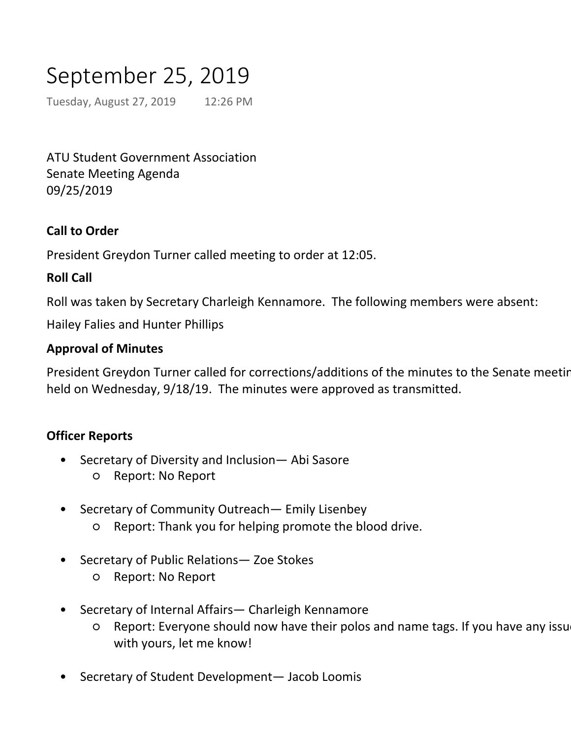# September 25, 2019

Tuesday, August 27, 2019 12:26 PM

ATU Student Government Association Senate Meeting Agenda 09/25/2019

## **Call to Order**

President Greydon Turner called meeting to order at 12:05.

## **Roll Call**

Roll was taken by Secretary Charleigh Kennamore. The following members were absent:

Hailey Falies and Hunter Phillips

#### **Approval of Minutes**

President Greydon Turner called for corrections/additions of the minutes to the Senate meeting held on Wednesday, 9/18/19. The minutes were approved as transmitted.

## **Officer Reports**

- Secretary of Diversity and Inclusion— Abi Sasore •
	- Report: No Report
- Secretary of Community Outreach— Emily Lisenbey •
	- Report: Thank you for helping promote the blood drive.
- Secretary of Public Relations— Zoe Stokes •
	- Report: No Report

○ Report: 2000 Dec 2000 Dec 2000 Dec 2000 Dec 2000 Dec 2000 Dec 2000 Dec 2000 Dec

- Secretary of Internal Affairs— Charleigh Kennamore •
	- Report: Everyone should now have their polos and name tags. If you have any issue with yours, let me know! ○
- Secretary of Student Development— Jacob Loomis •
	- Report: Please get with me to setup a makeup time if you missed the retreat
- Secretary of Finance and Administration— Bailey Fowler •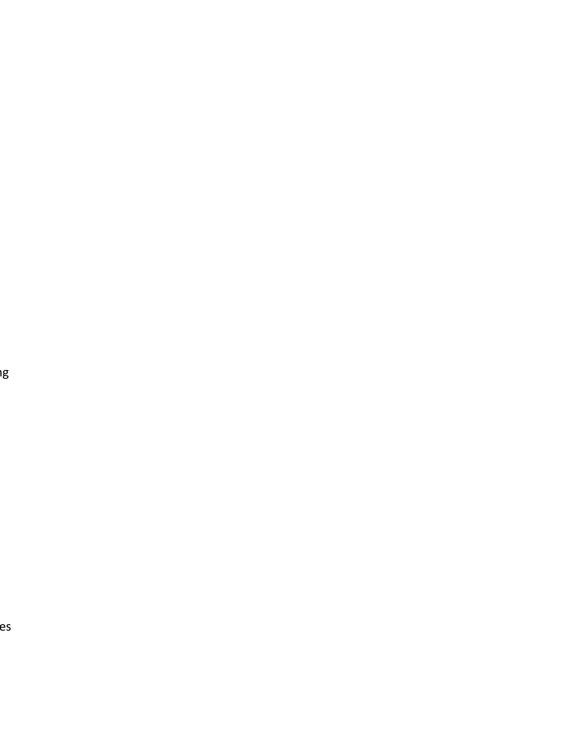es

er<br>I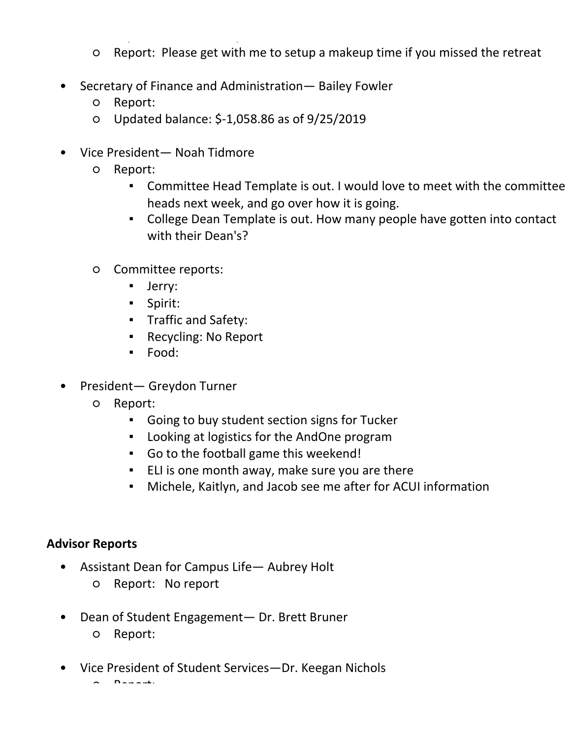- with yours, let me know!
- Report: Please get with me to setup a makeup time if you missed the retreat
- Secretary of Finance and Administration— Bailey Fowler •

Secretary of Student Development— Jacob Loomis

- Report:
- Updated balance: \$-1,058.86 as of 9/25/2019
- Vice President— Noah Tidmore •
	- Report:  $\circ$ 
		- Committee Head Template is out. I would love to meet with the committee heads next week, and go over how it is going. ▪
		- **•** College Dean Template is out. How many people have gotten into contact with their Dean's?
	- Committee reports:  $\circ$ 
		- Jerry:
		- Spirit:
		- Traffic and Safety:
		- Recycling: No Report
		- Food:
- President— Greydon Turner •
	- Report:  $\Omega$ 
		- Going to buy student section signs for Tucker
		- Looking at logistics for the AndOne program
		- Go to the football game this weekend!
		- ELI is one month away, make sure you are there
		- Michele, Kaitlyn, and Jacob see me after for ACUI information

#### **Advisor Reports**

- Assistant Dean for Campus Life— Aubrey Holt •
	- Report: No report
- Dean of Student Engagement— Dr. Brett Bruner ○ Report:  $\bullet$
- Vice President of Student Services—Dr. Keegan Nichols •

 $D = \mathbb{R} \times \mathbb{R}$ 

#### **Unfinished Business:**